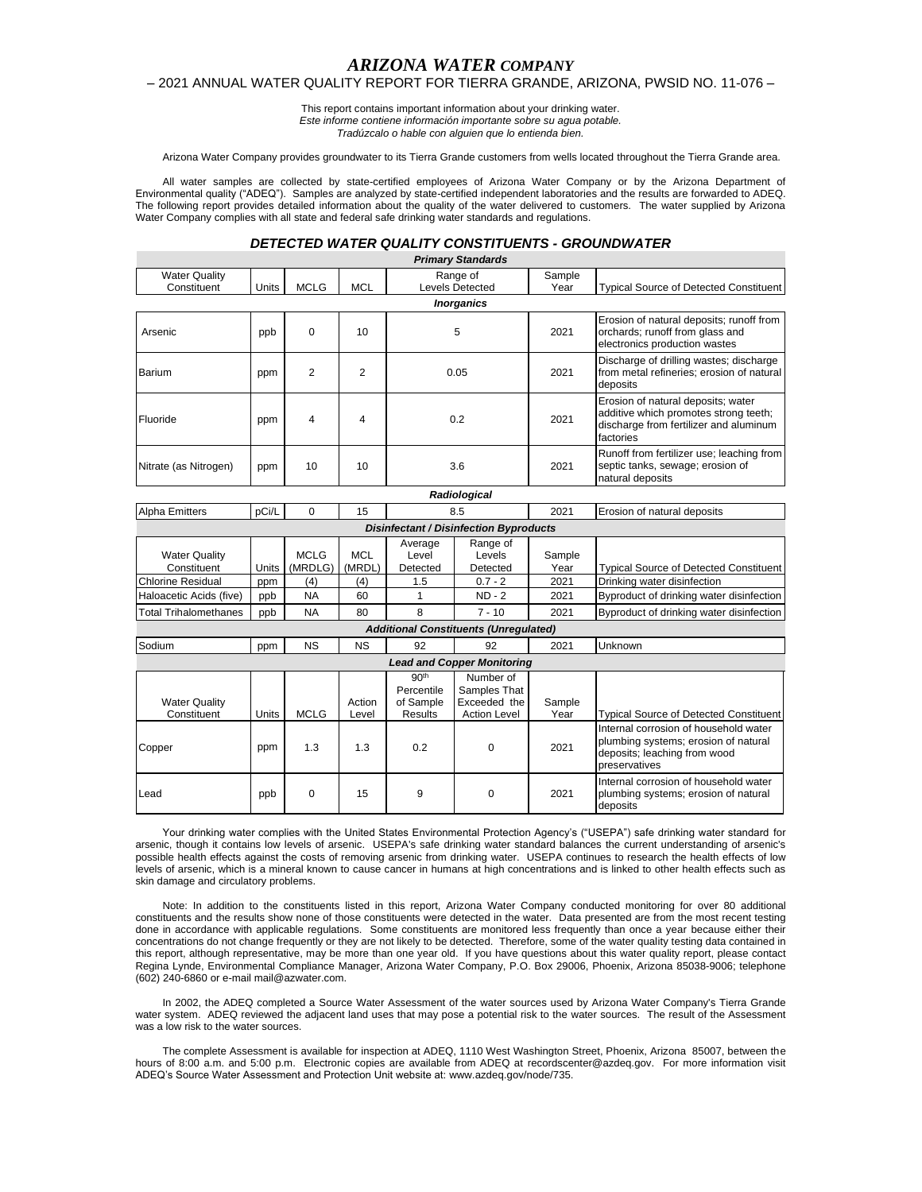# *ARIZONA WATER COMPANY*

## – 2021 ANNUAL WATER QUALITY REPORT FOR TIERRA GRANDE, ARIZONA, PWSID NO. 11-076 –

This report contains important information about your drinking water. *Este informe contiene información importante sobre su agua potable. Tradúzcalo o hable con alguien que lo entienda bien.*

Arizona Water Company provides groundwater to its Tierra Grande customers from wells located throughout the Tierra Grande area.

All water samples are collected by state-certified employees of Arizona Water Company or by the Arizona Department of Environmental quality ("ADEQ"). Samples are analyzed by state-certified independent laboratories and the results are forwarded to ADEQ. The following report provides detailed information about the quality of the water delivered to customers. The water supplied by Arizona Water Company complies with all state and federal safe drinking water standards and regulations.

### *DETECTED WATER QUALITY CONSTITUENTS - GROUNDWATER*

|                                     |              |                        |                                      |                              | <b>Primary Standards</b>                      |                                                                                                              |                                                                                                                                    |
|-------------------------------------|--------------|------------------------|--------------------------------------|------------------------------|-----------------------------------------------|--------------------------------------------------------------------------------------------------------------|------------------------------------------------------------------------------------------------------------------------------------|
| <b>Water Quality</b>                |              |                        |                                      | Range of                     |                                               | Sample                                                                                                       |                                                                                                                                    |
| Constituent                         | <b>Units</b> | <b>MCLG</b>            | <b>MCL</b><br><b>Levels Detected</b> |                              |                                               | Year                                                                                                         | <b>Typical Source of Detected Constituent</b>                                                                                      |
|                                     |              |                        |                                      |                              | <b>Inorganics</b>                             |                                                                                                              |                                                                                                                                    |
| Arsenic                             | ppb          | $\Omega$               | 10<br>5                              |                              | 2021                                          | Erosion of natural deposits; runoff from<br>orchards; runoff from glass and<br>electronics production wastes |                                                                                                                                    |
| Barium                              | ppm          | $\overline{2}$         | $\overline{2}$                       | 0.05                         |                                               | 2021                                                                                                         | Discharge of drilling wastes; discharge<br>from metal refineries; erosion of natural<br>deposits                                   |
| Fluoride                            | ppm          | 4                      | 4                                    | 0.2                          |                                               | 2021                                                                                                         | Erosion of natural deposits; water<br>additive which promotes strong teeth;<br>discharge from fertilizer and aluminum<br>factories |
| Nitrate (as Nitrogen)               | ppm          | 10                     | 10                                   | 3.6                          |                                               | 2021                                                                                                         | Runoff from fertilizer use; leaching from<br>septic tanks, sewage; erosion of<br>natural deposits                                  |
|                                     |              |                        |                                      |                              | Radiological                                  |                                                                                                              |                                                                                                                                    |
| <b>Alpha Emitters</b>               | pCi/L        | 0                      | 15                                   |                              | 8.5                                           | 2021                                                                                                         | Erosion of natural deposits                                                                                                        |
|                                     |              |                        |                                      |                              | <b>Disinfectant / Disinfection Byproducts</b> |                                                                                                              |                                                                                                                                    |
| <b>Water Quality</b><br>Constituent | Units        | <b>MCLG</b><br>(MRDLG) | <b>MCL</b><br>(MRDL)                 | Average<br>Level<br>Detected | Range of<br>Levels<br>Detected                | Sample<br>Year                                                                                               | <b>Typical Source of Detected Constituent</b>                                                                                      |
| Chlorine Residual                   | ppm          | (4)                    | (4)                                  | 1.5                          | $0.7 - 2$                                     | 2021                                                                                                         | Drinking water disinfection                                                                                                        |
| Haloacetic Acids (five)             | ppb          | <b>NA</b>              | 60                                   | 1                            | $ND - 2$                                      | 2021                                                                                                         | Byproduct of drinking water disinfection                                                                                           |
| <b>Total Trihalomethanes</b>        | ppb          | <b>NA</b>              | 80                                   | 8                            | $7 - 10$                                      | 2021                                                                                                         | Byproduct of drinking water disinfection                                                                                           |
|                                     |              |                        |                                      |                              | <b>Additional Constituents (Unregulated)</b>  |                                                                                                              |                                                                                                                                    |
| Sodium                              | ppm          | <b>NS</b>              | <b>NS</b>                            | 92                           | 92                                            | 2021                                                                                                         | Unknown                                                                                                                            |
|                                     |              |                        |                                      |                              | <b>Lead and Copper Monitoring</b>             |                                                                                                              |                                                                                                                                    |
|                                     |              |                        |                                      | 90 <sup>th</sup>             | Number of                                     |                                                                                                              |                                                                                                                                    |
| <b>Water Quality</b>                |              |                        | Action                               | Percentile<br>of Sample      | Samples That<br>Exceeded the                  | Sample                                                                                                       |                                                                                                                                    |
| Constituent                         | Units        | <b>MCLG</b>            | Level                                | <b>Results</b>               | <b>Action Level</b>                           | Year                                                                                                         | <b>Typical Source of Detected Constituent</b>                                                                                      |
| Copper                              | ppm          | 1.3                    | 1.3                                  | 0.2                          | 0                                             | 2021                                                                                                         | Internal corrosion of household water<br>plumbing systems; erosion of natural<br>deposits; leaching from wood<br>preservatives     |
| Lead                                | ppb          | 0                      | 15                                   | 9                            | 0                                             | 2021                                                                                                         | Internal corrosion of household water<br>plumbing systems; erosion of natural                                                      |

Your drinking water complies with the United States Environmental Protection Agency's ("USEPA") safe drinking water standard for arsenic, though it contains low levels of arsenic. USEPA's safe drinking water standard balances the current understanding of arsenic's possible health effects against the costs of removing arsenic from drinking water. USEPA continues to research the health effects of low levels of arsenic, which is a mineral known to cause cancer in humans at high concentrations and is linked to other health effects such as skin damage and circulatory problems.

deposits

Note: In addition to the constituents listed in this report, Arizona Water Company conducted monitoring for over 80 additional constituents and the results show none of those constituents were detected in the water. Data presented are from the most recent testing done in accordance with applicable regulations. Some constituents are monitored less frequently than once a year because either their concentrations do not change frequently or they are not likely to be detected. Therefore, some of the water quality testing data contained in this report, although representative, may be more than one year old. If you have questions about this water quality report, please contact Regina Lynde, Environmental Compliance Manager, Arizona Water Company, P.O. Box 29006, Phoenix, Arizona 85038-9006; telephone (602) 240-6860 or e-mail mail@azwater.com.

In 2002, the ADEQ completed a Source Water Assessment of the water sources used by Arizona Water Company's Tierra Grande water system. ADEQ reviewed the adjacent land uses that may pose a potential risk to the water sources. The result of the Assessment was a low risk to the water sources.

The complete Assessment is available for inspection at ADEQ, 1110 West Washington Street, Phoenix, Arizona 85007, between the hours of 8:00 a.m. and 5:00 p.m. Electronic copies are available from ADEQ at recordscenter@azdeq.gov. For more information visit ADEQ's Source Water Assessment and Protection Unit website at: www.azdeq.gov/node/735.